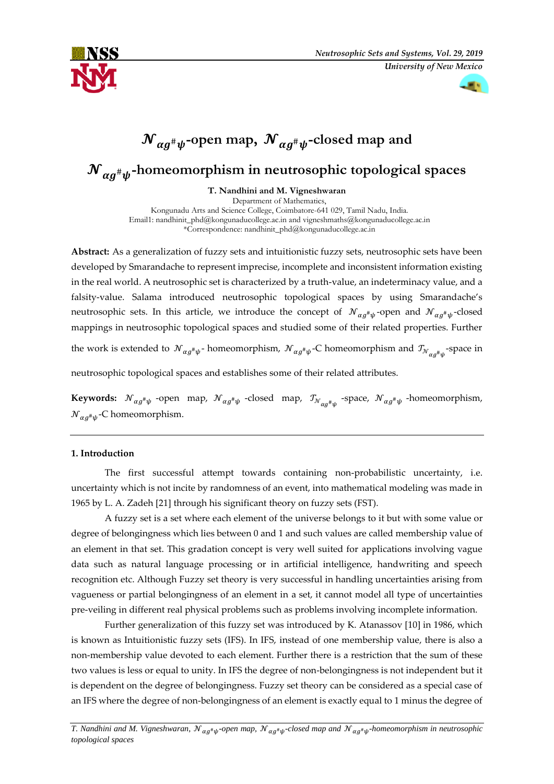

æ.

# ${\mathcal N}_{\alpha g^{\scriptscriptstyle \#}\psi}$ -open map,  ${\mathcal N}_{\alpha g^{\scriptscriptstyle \#}\psi}$ -closed map and

## ${\boldsymbol {\cal N}}_{\boldsymbol \alpha \boldsymbol g^{\boldsymbol \mu }\boldsymbol \psi }$ -homeomorphism in neutrosophic topological spaces

**T. Nandhini and M. Vigneshwaran**

Department of Mathematics, Kongunadu Arts and Science College, Coimbatore-641 029, Tamil Nadu, India. Email1: nandhinit\_phd@kongunaducollege.ac.in and vigneshmaths@kongunaducollege.ac.in \*Correspondence: [nandhinit\\_phd@kongunaducollege.ac.in](mailto:nandhinit_phd@kongunaducollege.ac.in)

**Abstract:** As a generalization of fuzzy sets and intuitionistic fuzzy sets, neutrosophic sets have been developed by Smarandache to represent imprecise, incomplete and inconsistent information existing in the real world. A neutrosophic set is characterized by a truth-value, an indeterminacy value, and a falsity-value. Salama introduced neutrosophic topological spaces by using Smarandache's neutrosophic sets. In this article, we introduce the concept of  ${\cal N}_{\alpha g^{\#}\psi}$ -open and  ${\cal N}_{\alpha g^{\#}\psi}$ -closed mappings in neutrosophic topological spaces and studied some of their related properties. Further the work is extended to  $\mathcal{N}_{\alpha g^{\#}\psi}$ -homeomorphism,  $\mathcal{N}_{\alpha g^{\#}\psi}$ -C homeomorphism and  $\mathcal{I}_{\mathcal{N}_{\alpha g^{\#}\psi}}$ -space in neutrosophic topological spaces and establishes some of their related attributes.

**Keywords:**  $\mathcal{N}_{\alpha g^{\#}\psi}$  -open map,  $\mathcal{N}_{\alpha g^{\#}\psi}$  -closed map,  $\mathcal{I}_{\mathcal{N}_{\alpha g^{\#}\psi}}$  -space,  $\mathcal{N}_{\alpha g^{\#}\psi}$  -homeomorphism,  ${\mathcal N}_{\alpha g^{\scriptscriptstyle\#} \psi}$ -C homeomorphism.

#### **1. Introduction**

The first successful attempt towards containing non-probabilistic uncertainty, i.e. uncertainty which is not incite by randomness of an event, into mathematical modeling was made in 1965 by L. A. Zadeh [21] through his significant theory on fuzzy sets (FST).

A fuzzy set is a set where each element of the universe belongs to it but with some value or degree of belongingness which lies between 0 and 1 and such values are called membership value of an element in that set. This gradation concept is very well suited for applications involving vague data such as natural language processing or in artificial intelligence, handwriting and speech recognition etc. Although Fuzzy set theory is very successful in handling uncertainties arising from vagueness or partial belongingness of an element in a set, it cannot model all type of uncertainties pre-veiling in different real physical problems such as problems involving incomplete information.

Further generalization of this fuzzy set was introduced by K. Atanassov [10] in 1986, which is known as Intuitionistic fuzzy sets (IFS). In IFS, instead of one membership value, there is also a non-membership value devoted to each element. Further there is a restriction that the sum of these two values is less or equal to unity. In IFS the degree of non-belongingness is not independent but it is dependent on the degree of belongingness. Fuzzy set theory can be considered as a special case of an IFS where the degree of non-belongingness of an element is exactly equal to 1 minus the degree of

T. Nandhini and M. Vigneshwaran,  ${\cal N}_{\alpha g^*\psi}$ -open map,  ${\cal N}_{\alpha g^*\psi}$ -closed map and  ${\cal N}_{\alpha g^*\psi}$ -homeomorphism in neutrosophic *topological spaces*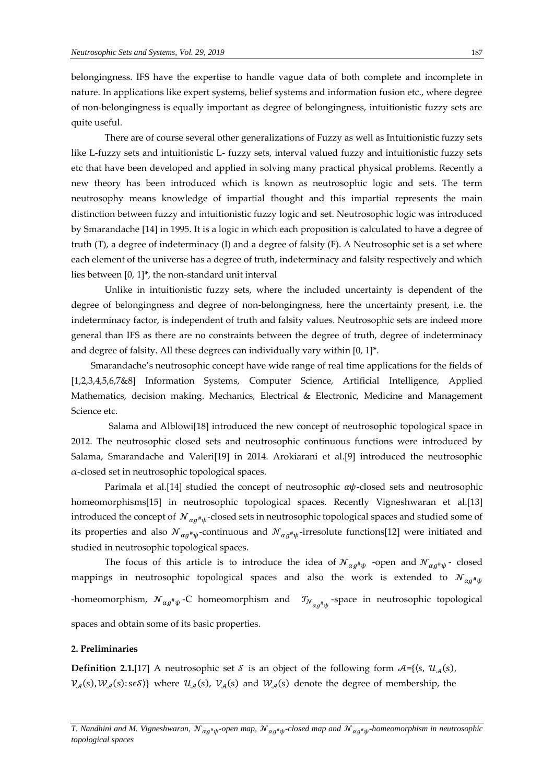belongingness. IFS have the expertise to handle vague data of both complete and incomplete in nature. In applications like expert systems, belief systems and information fusion etc., where degree of non-belongingness is equally important as degree of belongingness, intuitionistic fuzzy sets are quite useful.

There are of course several other generalizations of Fuzzy as well as Intuitionistic fuzzy sets like L-fuzzy sets and intuitionistic L- fuzzy sets, interval valued fuzzy and intuitionistic fuzzy sets etc that have been developed and applied in solving many practical physical problems. Recently a new theory has been introduced which is known as neutrosophic logic and sets. The term neutrosophy means knowledge of impartial thought and this impartial represents the main distinction between fuzzy and intuitionistic fuzzy logic and set. Neutrosophic logic was introduced by Smarandache [14] in 1995. It is a logic in which each proposition is calculated to have a degree of truth (T), a degree of indeterminacy (I) and a degree of falsity (F). A Neutrosophic set is a set where each element of the universe has a degree of truth, indeterminacy and falsity respectively and which lies between [0, 1]\*, the non-standard unit interval

Unlike in intuitionistic fuzzy sets, where the included uncertainty is dependent of the degree of belongingness and degree of non-belongingness, here the uncertainty present, i.e. the indeterminacy factor, is independent of truth and falsity values. Neutrosophic sets are indeed more general than IFS as there are no constraints between the degree of truth, degree of indeterminacy and degree of falsity. All these degrees can individually vary within [0, 1]\*.

Smarandache's neutrosophic concept have wide range of real time applications for the fields of [1,2,3,4,5,6,7&8] Information Systems, Computer Science, Artificial Intelligence, Applied Mathematics, decision making. Mechanics, Electrical & Electronic, Medicine and Management Science etc.

Salama and Alblowi[18] introduced the new concept of neutrosophic topological space in 2012. The neutrosophic closed sets and neutrosophic continuous functions were introduced by Salama, Smarandache and Valeri[19] in 2014. Arokiarani et al.[9] introduced the neutrosophic α-closed set in neutrosophic topological spaces.

Parimala et al.[14] studied the concept of neutrosophic  $\alpha\psi$ -closed sets and neutrosophic homeomorphisms[15] in neutrosophic topological spaces. Recently Vigneshwaran et al.[13] introduced the concept of  $\ {\cal N}_{\alpha g^{\#}\psi}$ -closed sets in neutrosophic topological spaces and studied some of its properties and also  ${\cal N}_{\alpha g^{\#}\psi}$ -continuous and  ${\cal N}_{\alpha g^{\#}\psi}$ -irresolute functions[12] were initiated and studied in neutrosophic topological spaces.

The focus of this article is to introduce the idea of  ${\mathcal N}_{\alpha g^{\#}\psi}$  -open and  ${\mathcal N}_{\alpha g^{\#}\psi}$ -closed mappings in neutrosophic topological spaces and also the work is extended to  ${\mathcal N}_{\alpha g^{\#}\psi}$ -homeomorphism,  ${\mathcal N}_{\alpha g^\# \psi}$  -C homeomorphism and  ${\mathcal T}_{{\mathcal N}_{\alpha g^\# \psi}}$  -space in neutrosophic topological spaces and obtain some of its basic properties.

#### **2. Preliminaries**

**Definition 2.1.**[17] A neutrosophic set *S* is an object of the following form  $A = \{(s, \mathcal{U}_{A}(s), \mathcal{U}_{C}(s))\}$  $V_{\mathcal{A}}(s),W_{\mathcal{A}}(s): s \in S$ } where  $\mathcal{U}_{\mathcal{A}}(s), V_{\mathcal{A}}(s)$  and  $\mathcal{W}_{\mathcal{A}}(s)$  denote the degree of membership, the

T. Nandhini and M. Vigneshwaran,  ${\cal N}_{\alpha g^*\psi}$ -open map,  ${\cal N}_{\alpha g^*\psi}$ -closed map and  ${\cal N}_{\alpha g^*\psi}$ -homeomorphism in neutrosophic *topological spaces*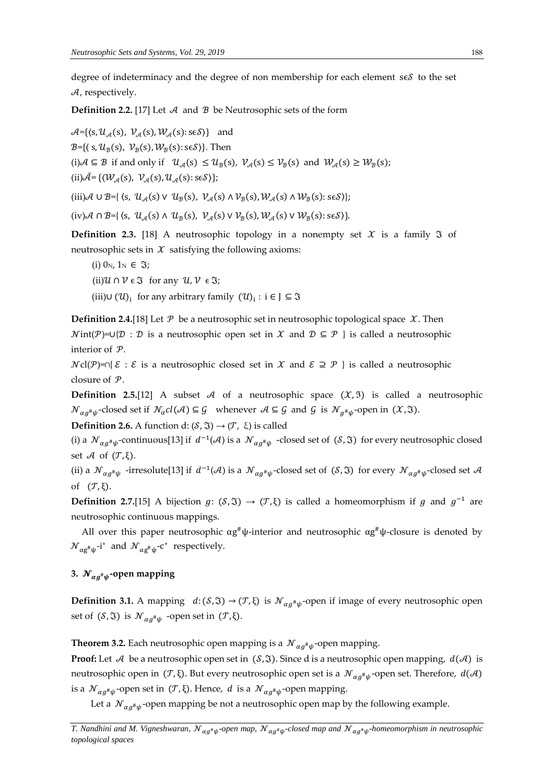degree of indeterminacy and the degree of non membership for each element s $\epsilon \mathcal{S}$  to the set  $A$ , respectively.

**Definition 2.2.** [17] Let  $\mathcal A$  and  $\mathcal B$  be Neutrosophic sets of the form

 $\mathcal{A} = \{ \langle s, \mathcal{U}_{\mathcal{A}}(s), \mathcal{V}_{\mathcal{A}}(s), \mathcal{W}_{\mathcal{A}}(s) : s \in \mathcal{S} \rangle \}$  and B={ $\langle S, \mathcal{U}_{\mathcal{B}}(S), \mathcal{V}_{\mathcal{B}}(S), \mathcal{W}_{\mathcal{B}}(S) \colon S \in S \rangle$ }. Then (i)  $A \subseteq B$  if and only if  $\mathcal{U}_{A}(s) \leq \mathcal{U}_{B}(s)$ ,  $\mathcal{V}_{A}(s) \leq \mathcal{V}_{B}(s)$  and  $\mathcal{W}_{A}(s) \geq \mathcal{W}_{B}(s)$ ; (ii) $\bar{\mathcal{A}} = \{(\mathcal{W}_{\mathcal{A}}(s), \mathcal{V}_{\mathcal{A}}(s), \mathcal{U}_{\mathcal{A}}(s): s \in \mathcal{S})\};$ 

(iii)A  $\cup$  B={  $\langle$ s,  $\mathcal{U}_{\mathcal{A}}(s) \vee \mathcal{U}_{\mathcal{B}}(s), \mathcal{V}_{\mathcal{A}}(s) \wedge \mathcal{V}_{\mathcal{B}}(s), \mathcal{W}_{\mathcal{A}}(s) \wedge \mathcal{W}_{\mathcal{B}}(s) : s \in S \rangle$ };

 $(iv)$ A  $\cap$  B={  $\langle s, u_{\mathcal{A}}(s) \wedge u_{\mathcal{B}}(s), v_{\mathcal{A}}(s) \vee v_{\mathcal{B}}(s), w_{\mathcal{A}}(s) \vee w_{\mathcal{B}}(s): s \in S \rangle$  }.

**Definition 2.3.** [18] A neutrosophic topology in a nonempty set  $X$  is a family  $\Im$  of neutrosophic sets in  $\mathcal X$  satisfying the following axioms:

(i)  $0_N$ ,  $1_N \in \mathfrak{I}$ ;

(ii)  $\mathcal{U} \cap \mathcal{V} \in \mathfrak{I}$  for any  $\mathcal{U}, \mathcal{V} \in \mathfrak{I}$ ;

(iii)∪  $(U)$ <sub>i</sub> for any arbitrary family  $(U)$ <sub>i</sub> : i ∈ J ⊆  $\Im$ 

**Definition 2.4.**[18] Let  $P$  be a neutrosophic set in neutrosophic topological space  $X$ . Then  $Nint(P)=U{D : D$  is a neutrosophic open set in X and  $D \subseteq P$  } is called a neutrosophic interior of  $P$ .

 $\mathcal{N}cl(\mathcal{P})=\cap\{\mathcal{E}: \mathcal{E} \text{ is a neutrosophic closed set in } \mathcal{X} \text{ and } \mathcal{E} \supseteq \mathcal{P} \}$  is called a neutrosophic closure of  $P$ .

**Definition 2.5.**[12] A subset A of a neutrosophic space  $(\mathcal{X}, \mathcal{Y})$  is called a neutrosophic  ${\mathcal N}_{\alpha g^\# \psi}$ -closed set if  $\mathcal N_\alpha$ cl $({\mathcal A}) \subseteq {\mathcal G}$  whenever  ${\mathcal A} \subseteq {\mathcal G}$  and  ${\mathcal G}$  is  ${\mathcal N}_{g^\# \psi}$ -open in  $({\mathcal X}, \mathfrak I).$ 

**Definition 2.6.** A function d:  $(S, \mathfrak{I}) \rightarrow (\mathcal{T}, \xi)$  is called

(i) a  $\mathcal{N}_{\alpha g^{\#}\psi}$ -continuous[13] if  $d^{-1}(\mathcal{A})$  is a  $\mathcal{N}_{\alpha g^{\#}\psi}$  -closed set of  $(\mathcal{S}, \mathfrak{I})$  for every neutrosophic closed set  $\mathcal A$  of  $(\mathcal T, \xi)$ .

(ii) a  $\mathcal{N}_{\alpha g^{\#}\psi}$  -irresolute[13] if  $d^{-1}(\mathcal{A})$  is a  $\mathcal{N}_{\alpha g^{\#}\psi}$ -closed set of  $(\mathcal{S}, \mathfrak{I})$  for every  $\mathcal{N}_{\alpha g^{\#}\psi}$ -closed set  $\mathcal{A}$ of  $(\mathcal{T}, \xi)$ .

**Definition 2.7.**[15] A bijection  $g: (\mathcal{S}, \mathfrak{I}) \to (\mathcal{T}, \xi)$  is called a homeomorphism if g and  $g^{-1}$  are neutrosophic continuous mappings.

All over this paper neutrosophic  $\alpha g^{\#} \psi$ -interior and neutrosophic  $\alpha g^{\#} \psi$ -closure is denoted by  ${\mathcal N}_{\alpha g^{\#} \psi}$ -i\* and  ${\mathcal N}_{\alpha g^{\#} \psi}$ -c\* respectively.

### 3.  ${\mathcal N}_{\alpha g^{\scriptscriptstyle\#}\psi}$ -open mapping

**Definition 3.1.** A mapping  $d: (\mathcal{S}, \mathfrak{I}) \to (\mathcal{T}, \xi)$  is  $\mathcal{N}_{\alpha g^{\#}\psi}$ -open if image of every neutrosophic open set of  $(S, \mathfrak{I})$  is  $\mathcal{N}_{\alpha g^{\#}\psi}$  -open set in  $(\mathcal{T}, \xi)$ .

**Theorem 3.2.** Each neutrosophic open mapping is a  $\mathcal{N}_{\alpha g^{\#}\psi}$ -open mapping.

**Proof:** Let A be a neutrosophic open set in  $(S, \Im)$ . Since d is a neutrosophic open mapping,  $d(\mathcal{A})$  is neutrosophic open in (Τ,ξ). But every neutrosophic open set is a  $\cal{N}_{\alpha g^{\#}\psi}$ -open set. Therefore,  $d(A)$ is a  ${\mathcal N}_{\alpha g^{\#}\psi}$ -open set in  $({\mathcal T}, \xi)$ . Hence, d is a  ${\mathcal N}_{\alpha g^{\#}\psi}$ -open mapping.

Let a  $\mathcal{N}_{\alpha g^\# \psi}$ -open mapping be not a neutrosophic open map by the following example.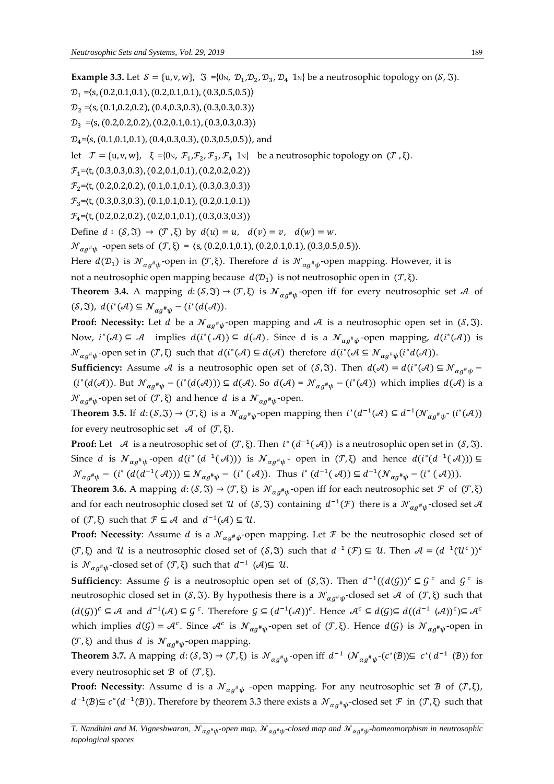**Example 3.3.** Let  $S = \{u, v, w\}$ ,  $\Im = \{0 \cup v, D_1, D_2, D_3, D_4, 1 \cup v\}$  be a neutrosophic topology on  $(S, \Im)$ .  $\mathcal{D}_1 = (s, (0.2, 0.1, 0.1), (0.2, 0.1, 0.1), (0.3, 0.5, 0.5))$  $\mathcal{D}_2 = \langle s, (0.1, 0.2, 0.2), (0.4, 0.3, 0.3), (0.3, 0.3, 0.3) \rangle$  $\mathcal{D}_3 = (s, (0.2, 0.2, 0.2), (0.2, 0.1, 0.1), (0.3, 0.3, 0.3))$  $\mathcal{D}_4$ = $\langle S, (0.1, 0.1, 0.1), (0.4, 0.3, 0.3), (0.3, 0.5, 0.5) \rangle$ , and let  $\mathcal{T} = \{u, v, w\}, \xi = \{0\}, \mathcal{F}_1, \mathcal{F}_2, \mathcal{F}_3, \mathcal{F}_4 \text{ 1N} \}$  be a neutrosophic topology on  $(\mathcal{T}, \xi)$ .  $\mathcal{F}_1 = \langle t, (0.3, 0.3, 0.3), (0.2, 0.1, 0.1), (0.2, 0.2, 0.2) \rangle$  $\mathcal{F}_2$ = $\langle t, (0.2, 0.2, 0.2), (0.1, 0.1, 0.1), (0.3, 0.3, 0.3) \rangle$  $\mathcal{F}_3 = \langle t, (0.3, 0.3, 0.3), (0.1, 0.1, 0.1), (0.2, 0.1, 0.1) \rangle$  $\mathcal{F}_4 = \langle t, (0.2, 0.2, 0.2), (0.2, 0.1, 0.1), (0.3, 0.3, 0.3) \rangle$ Define  $d : (\mathcal{S}, \mathfrak{V}) \to (\mathcal{T}, \xi)$  by  $d(u) = u$ ,  $d(v) = v$ ,  $d(w) = w$ .  ${\cal N}_{\alpha g^{\#}\psi}$  -open sets of  $({\cal T}, \xi) = \langle s, (0.2, 0.1, 0.1), (0.2, 0.1, 0.1), (0.3, 0.5, 0.5) \rangle$ . Here  $d(D_1)$  is  ${\mathcal N}_{\alpha g^{\#}\psi}$ -open in  $({\mathcal T}, \xi)$ . Therefore  $d$  is  ${\mathcal N}_{\alpha g^{\#}\psi}$ -open mapping. However, it is not a neutrosophic open mapping because  $d(D_1)$  is not neutrosophic open in ( $T$ , ξ). **Theorem 3.4.** A mapping  $d: (\mathcal{S}, \mathfrak{I}) \to (\mathcal{T}, \xi)$  is  $\mathcal{N}_{\alpha g^{\#}\psi}$ -open iff for every neutrosophic set A of  $(\mathcal{S}, \mathfrak{I}), d(i^*(\mathcal{A}) \subseteq \mathcal{N}_{\alpha g^{\#}\psi} - (i^*(d(\mathcal{A}))).$ **Proof: Necessity:** Let  $d$  be a  $\mathcal{N}_{\alpha g^{\#}\psi}$ -open mapping and  $\mathcal{A}$  is a neutrosophic open set in (*S*,  $\mathfrak{I}$ ). Now,  $i^*(A) \subseteq A$  implies  $d(i^*(A)) \subseteq d(A)$ . Since d is a  $\mathcal{N}_{\alpha g^{\#}\psi}$ -open mapping,  $d(i^*(A))$  is  $\mathcal{N}_{\alpha g^{\#}\psi}$ -open set in  $(\mathcal{T}, \xi)$  such that  $d(i^*(\mathcal{A}) \subseteq d(\mathcal{A})$  therefore  $d(i^*(\mathcal{A} \subseteq \mathcal{N}_{\alpha g^{\#}\psi}(i^*d(\mathcal{A}))).$ **Sufficiency:** Assume A is a neutrosophic open set of  $(S, \mathfrak{T})$ . Then  $d(\mathcal{A}) = d(i^*(\mathcal{A}) \subseteq \mathcal{N}_{\alpha g^{\#}\psi}$  $(i^*(d(\mathcal{A}))$ . But  $\mathcal{N}_{\alpha g^{\#}\psi} - (i^*(d(\mathcal{A}))) \subseteq d(\mathcal{A})$ . So  $d(\mathcal{A}) = \mathcal{N}_{\alpha g^{\#}\psi} - (i^*(\mathcal{A}))$  which implies  $d(\mathcal{A})$  is a  ${\mathcal N}_{\alpha g^{\#}\psi}$ -open set of (*T*, ξ) and hence d is a  ${\mathcal N}_{\alpha g^{\#}\psi}$ -open. **Theorem 3.5.** If  $d: (\mathcal{S}, \mathfrak{I}) \to (\mathcal{T}, \xi)$  is a  $\mathcal{N}_{\alpha g^{\#} \psi}$ -open mapping then  $i^*(d^{-1}(\mathcal{A}) \subseteq d^{-1}(\mathcal{N}_{\alpha g^{\#} \psi} - (i^*(\mathcal{A}))$ for every neutrosophic set  $\mathcal A$  of  $(\mathcal T, \xi)$ . **Proof:** Let  $\mathcal A$  is a neutrosophic set of  $(\mathcal T, \xi)$ . Then  $i^*(d^{-1}(\mathcal A))$  is a neutrosophic open set in  $(\mathcal S, \mathfrak I)$ . Since d is  $\mathcal{N}_{\alpha g^{\#}\psi}$ -open  $d(i^*(d^{-1}(\mathcal{A})))$  is  $\mathcal{N}_{\alpha g^{\#}\psi}$ - open in  $(\mathcal{T},\xi)$  and hence  $d(i^*(d^{-1}(\mathcal{A}))) \subseteq$  $\mathcal{N}_{\alpha g^{\#}\psi} - (i^{\ast} (d(d^{-1}(\mathcal{A}))) \subseteq \mathcal{N}_{\alpha g^{\#}\psi} - (i^{\ast} (\mathcal{A}))$ . Thus  $i^{\ast} (d^{-1}(\mathcal{A})) \subseteq d^{-1}(\mathcal{N}_{\alpha g^{\#}\psi} - (i^{\ast} (\mathcal{A})))$ . **Theorem 3.6.** A mapping  $d: (\mathcal{S}, \mathfrak{I}) \to (\mathcal{T}, \xi)$  is  $\mathcal{N}_{\alpha g^{\#}\psi}$ -open iff for each neutrosophic set  $\mathcal{F}$  of  $(\mathcal{T}, \xi)$ and for each neutrosophic closed set  $U$  of  $(S, \mathfrak{I})$  containing  $d^{-1}(\mathcal{F})$  there is a  $\mathcal{N}_{\alpha g^{\#}\psi}$ -closed set  $\mathcal A$ of  $(\mathcal{T}, \xi)$  such that  $\mathcal{F} \subseteq \mathcal{A}$  and  $d^{-1}(\mathcal{A}) \subseteq \mathcal{U}$ . **Proof: Necessity**: Assume *d* is a  $\mathcal{N}_{\alpha g^\# \psi}$ -open mapping. Let  $\mathcal F$  be the neutrosophic closed set of  $(\mathcal{T},\xi)$  and  $\mathcal{U}$  is a neutrosophic closed set of  $(\mathcal{S},\mathfrak{J})$  such that  $d^{-1}(\mathcal{F})\subseteq \mathcal{U}$ . Then  $\mathcal{A}=(d^{-1}(\mathcal{U}^c))^c$ is  $\mathcal{N}_{\alpha g^{\#}\psi}$ -closed set of  $(\mathcal{T}, \xi)$  such that  $d^{-1}$   $(\mathcal{A}) \subseteq \mathcal{U}$ .

**Sufficiency**: Assume G is a neutrosophic open set of  $(S, \Im)$ . Then  $d^{-1}((d(\mathcal{G}))^c \subseteq \mathcal{G}^c$  and  $\mathcal{G}^c$  is neutrosophic closed set in (*S*,  $\mathfrak{F}$ ). By hypothesis there is a  ${\mathcal N}_{\alpha g^{\#}\psi}$ -closed set A of (*T*,  $\xi$ ) such that  $(d(\mathcal{G}))^c \subseteq \mathcal{A}$  and  $d^{-1}(\mathcal{A}) \subseteq \mathcal{G}^c$ . Therefore  $\mathcal{G} \subseteq (d^{-1}(\mathcal{A}))^c$ . Hence  $\mathcal{A}^c \subseteq d(\mathcal{G}) \subseteq d((d^{-1}(\mathcal{A}))^c) \subseteq \mathcal{A}^c$ which implies  $d(G) = \mathcal{A}^c$ . Since  $\mathcal{A}^c$  is  $\mathcal{N}_{\alpha g^{\#}\psi}$ -open set of  $(\mathcal{T}, \xi)$ . Hence  $d(G)$  is  $\mathcal{N}_{\alpha g^{\#}\psi}$ -open in (*T*, ξ) and thus *d* is  $\mathcal{N}_{\alpha g^{\#}\psi}$ -open mapping.

**Theorem 3.7.** A mapping  $d: (\mathcal{S}, \mathfrak{I}) \to (\mathcal{T}, \xi)$  is  $\mathcal{N}_{\alpha g^{\#}\psi}$ -open iff  $d^{-1}(\mathcal{N}_{\alpha g^{\#}\psi}-(c^*(\mathcal{B})) \subseteq c^*(d^{-1}(\mathcal{B}))$  for every neutrosophic set  $\mathcal B$  of  $(\mathcal T, \xi)$ .

**Proof:** Necessity: Assume d is a  $\mathcal{N}_{\alpha g^{\#}\psi}$  -open mapping. For any neutrosophic set  $\mathcal{B}$  of  $(\mathcal{T},\xi)$ ,  $d^{-1}(\mathcal{B}) \subseteq c^*(d^{-1}(\mathcal{B}))$ . Therefore by theorem 3.3 there exists a  $\mathcal{N}_{\alpha g^{\#}\psi}$ -closed set  $\mathcal{F}$  in  $(\mathcal{T}, \xi)$  such that

T. Nandhini and M. Vigneshwaran,  ${\cal N}_{\alpha g^*\psi}$ -open map,  ${\cal N}_{\alpha g^*\psi}$ -closed map and  ${\cal N}_{\alpha g^*\psi}$ -homeomorphism in neutrosophic *topological spaces*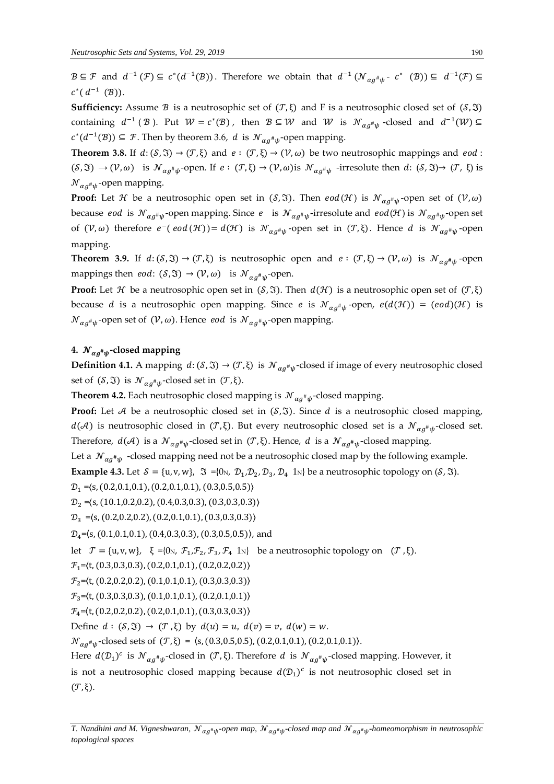$B\subseteq \mathcal{F}$  and  $d^{-1}(\mathcal{F})\subseteq c^*(d^{-1}(\mathcal{B}))$ . Therefore we obtain that  $d^{-1}(\mathcal{N}_{\alpha g^{\#}\psi}$ -  $c^*$   $(\mathcal{B}))\subseteq d^{-1}(\mathcal{F})\subseteq$  $c^*(d^{-1}(\mathcal{B}))$ .

**Sufficiency:** Assume  $\mathcal B$  is a neutrosophic set of  $(\mathcal T, \xi)$  and F is a neutrosophic closed set of  $(\mathcal S, \mathfrak I)$ containing  $d^{-1}(\mathcal{B})$ . Put  $\mathcal{W} = c^*(\mathcal{B})$ , then  $\mathcal{B} \subseteq \mathcal{W}$  and  $\mathcal{W}$  is  $\mathcal{N}_{\alpha g^{\#}\psi}$ -closed and  $d^{-1}(\mathcal{W}) \subseteq$  $c^*(d^{-1}(\mathcal{B}))$  ⊆ *F*. Then by theorem 3.6, *d* is  $\mathcal{N}_{\alpha g^{\#}\psi}$ -open mapping.

**Theorem 3.8.** If  $d: (\mathcal{S}, \mathfrak{I}) \to (\mathcal{T}, \xi)$  and  $e: (\mathcal{T}, \xi) \to (\mathcal{V}, \omega)$  be two neutrosophic mappings and  $eod:$  $(S, \mathfrak{I}) \to (\mathcal{V}, \omega)$  is  $\mathcal{N}_{\alpha g^{\#}\psi}$ -open. If  $e : (\mathcal{T}, \xi) \to (\mathcal{V}, \omega)$  is  $\mathcal{N}_{\alpha g^{\#}\psi}$ -irresolute then  $d : (\mathcal{S}, \mathfrak{I}) \to (\mathcal{T}, \xi)$  is  ${\cal N}_{\alpha g^{\scriptscriptstyle\#}\psi}$ -open mapping.

**Proof:** Let  $\cal H$  be a neutrosophic open set in  $({\cal S}, \mathfrak{I}).$  Then  $eod({\cal H})$  is  ${\cal N}_{\alpha g^\# \psi}$ -open set of  $({\cal V}, \omega)$ because *eod* is  $\mathcal{N}_{\alpha g^{\#}\psi}$ -open mapping. Since  $e$  is  $\mathcal{N}_{\alpha g^{\#}\psi}$ -irresolute and  $eod(\mathcal{H})$  is  $\mathcal{N}_{\alpha g^{\#}\psi}$ -open set of  $(V, \omega)$  therefore  $e^-(eod(\mathcal{H})) = d(\mathcal{H})$  is  $\mathcal{N}_{\alpha g^{\#}\psi}$ -open set in  $(\mathcal{T}, \xi)$ . Hence d is  $\mathcal{N}_{\alpha g^{\#}\psi}$ -open mapping.

**Theorem 3.9.** If  $d: (\mathcal{S}, \mathfrak{I}) \to (\mathcal{T}, \xi)$  is neutrosophic open and  $e: (\mathcal{T}, \xi) \to (\mathcal{V}, \omega)$  is  $\mathcal{N}_{\alpha g^{\#}\psi}$ -open mappings then *eod*:  $(S, \mathfrak{T}) \to (\mathcal{V}, \omega)$  is  $\mathcal{N}_{\alpha g^{\#}\psi}$ -open.

**Proof:** Let *H* be a neutrosophic open set in  $(S, \mathfrak{I})$ . Then  $d(\mathcal{H})$  is a neutrosophic open set of  $(\mathcal{T}, \xi)$ because d is a neutrosophic open mapping. Since e is  ${\mathcal N}_{\alpha g^\# \psi}$ -open,  $e(d({\mathcal H}))$  =  $(eod)({\mathcal H})$  is  ${\mathcal{N}}_{\alpha g^{\#}\psi}$ -open set of  $(\mathcal{V}, \omega)$ . Hence *eod* is  ${\mathcal{N}}_{\alpha g^{\#}\psi}$ -open mapping.

## **4.**  $\boldsymbol{\mathcal{N}}_{\alpha g^{\#}\psi}$ -closed mapping

**Definition 4.1.** A mapping  $d: (\mathcal{S}, \mathfrak{I}) \to (\mathcal{T}, \xi)$  is  $\mathcal{N}_{\alpha g^{\#}\psi}$ -closed if image of every neutrosophic closed set of  $(S, \Im)$  is  $\mathcal{N}_{\alpha g^{\#}\psi}$ -closed set in  $(\mathcal{T}, \xi)$ .

**Theorem 4.2.** Each neutrosophic closed mapping is  $\mathcal{N}_{\alpha g^{\#}\psi}$ -closed mapping.

**Proof:** Let  $A$  be a neutrosophic closed set in  $(S, \mathfrak{I})$ . Since  $d$  is a neutrosophic closed mapping,  $d(\mathcal{A})$  is neutrosophic closed in  $(\mathcal{T}, \xi)$ . But every neutrosophic closed set is a  $\mathcal{N}_{\alpha g^{\#}\psi}$ -closed set. Therefore,  $d(\mathcal{A})$  is a  $\mathcal{N}_{\alpha g^{\#}\psi}$ -closed set in  $(\mathcal{T}, \xi)$ . Hence,  $d$  is a  $\mathcal{N}_{\alpha g^{\#}\psi}$ -closed mapping.

Let a  $\mathcal{N}_{\alpha g^{\#}\psi}$  -closed mapping need not be a neutrosophic closed map by the following example.

**Example 4.3.** Let  $S = \{u, v, w\}$ ,  $\Im = \{0 \cup v, \ D_1, D_2, D_3, D_4 \mid w\}$  be a neutrosophic topology on  $(S, \Im)$ .

 $D_1 = (s, (0.2, 0.1, 0.1), (0.2, 0.1, 0.1), (0.3, 0.5, 0.5))$ 

$$
\mathcal{D}_2 = \langle s, (10.1, 0.2, 0.2), (0.4, 0.3, 0.3), (0.3, 0.3, 0.3) \rangle
$$

 $\mathcal{D}_3 = (s, (0.2, 0.2, 0.2), (0.2, 0.1, 0.1), (0.3, 0.3, 0.3))$ 

 $\mathcal{D}_4$ = $\langle s, (0.1, 0.1, 0.1), (0.4, 0.3, 0.3), (0.3, 0.5, 0.5) \rangle$ , and

let 
$$
\mathcal{T} = \{u, v, w\}
$$
,  $\xi = \{0_N, \mathcal{F}_1, \mathcal{F}_2, \mathcal{F}_3, \mathcal{F}_4, 1_N\}$  be a neutrosophic topology on  $(\mathcal{T}, \xi)$ .

 $\mathcal{F}_1 = \langle t, (0.3, 0.3, 0.3), (0.2, 0.1, 0.1), (0.2, 0.2, 0.2) \rangle$ 

 $\mathcal{F}_2 = \langle t, (0.2, 0.2, 0.2), (0.1, 0.1, 0.1), (0.3, 0.3, 0.3) \rangle$ 

 $\mathcal{F}_3 = \langle t, (0.3, 0.3, 0.3), (0.1, 0.1, 0.1), (0.2, 0.1, 0.1) \rangle$ 

 $\mathcal{F}_4 = \langle t, (0.2, 0.2, 0.2), (0.2, 0.1, 0.1), (0.3, 0.3, 0.3) \rangle$ 

Define  $d : (\mathcal{S}, \mathfrak{S}) \to (\mathcal{T}, \mathfrak{S})$  by  $d(u) = u$ ,  $d(v) = v$ ,  $d(w) = w$ .

 $\mathcal{N}_{\alpha g^{\#}\psi}$ -closed sets of  $(\mathcal{T}, \xi) = \langle s, (0.3, 0.5, 0.5), (0.2, 0.1, 0.1), (0.2, 0.1, 0.1) \rangle$ .

Here  $d(D_1)^c$  is  $\mathcal{N}_{\alpha g^{\#}\psi}$ -closed in  $(\mathcal{T}, \xi)$ . Therefore d is  $\mathcal{N}_{\alpha g^{\#}\psi}$ -closed mapping. However, it is not a neutrosophic closed mapping because  $d(D_1)^c$  is not neutrosophic closed set in  $(\mathcal{T}, \xi)$ .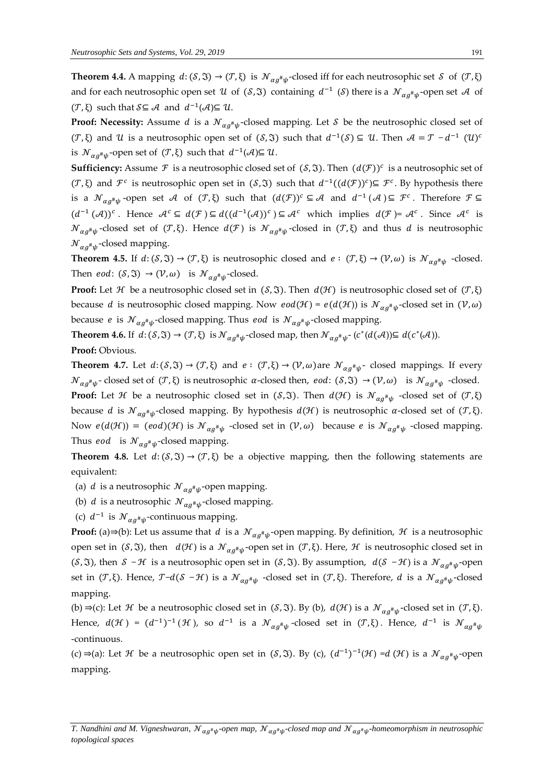**Theorem 4.4.** A mapping  $d: (\mathcal{S}, \mathfrak{I}) \to (\mathcal{T}, \xi)$  is  $\mathcal{N}_{\alpha g^{\#}\psi}$ -closed iff for each neutrosophic set  $\mathcal{S}$  of  $(\mathcal{T}, \xi)$ and for each neutrosophic open set  $U$  of  $(S, \Im)$  containing  $d^{-1}(S)$  there is a  $\mathcal{N}_{\alpha g^{\#}\psi}$ -open set  $\mathcal A$  of  $(\mathcal{T}, \xi)$  such that  $S \subseteq \mathcal{A}$  and  $d^{-1}(\mathcal{A}) \subseteq \mathcal{U}$ .

**Proof: Necessity:** Assume d is a  $\mathcal{N}_{\alpha g^{\#}\psi}$ -closed mapping. Let  $\mathcal S$  be the neutrosophic closed set of  $(\mathcal{T},\xi)$  and  $\mathcal{U}$  is a neutrosophic open set of  $(\mathcal{S},\mathfrak{V})$  such that  $d^{-1}(\mathcal{S})\subseteq \mathcal{U}$ . Then  $\mathcal{A}=\mathcal{T}-d^{-1}(\mathcal{U})^d$ is  $\mathcal{N}_{\alpha g^{\#}\psi}$ -open set of  $(\mathcal{T}, \xi)$  such that  $d^{-1}(\mathcal{A}) \subseteq \mathcal{U}$ .

**Sufficiency:** Assume  $\mathcal F$  is a neutrosophic closed set of  $(\mathcal S, \mathfrak T)$ . Then  $(d(\mathcal F))^c$  is a neutrosophic set of (*T*, ξ) and *F<sup>c</sup>* is neutrosophic open set in (*S*,  $\Im$ ) such that  $d^{-1}((d(\mathcal{F}))^c)$ ⊆ *F<sup>c</sup>*. By hypothesis there is a  $\mathcal{N}_{\alpha g^{\#}\psi}$ -open set A of  $(\mathcal{T},\xi)$  such that  $(d(\mathcal{F}))^c \subseteq \mathcal{A}$  and  $d^{-1}(\mathcal{A}) \subseteq \mathcal{F}^c$ . Therefore  $\mathcal{F} \subseteq$  $(d^{-1}(\mathcal{A}))^c$ . Hence  $\mathcal{A}^c \subseteq d(\mathcal{F}) \subseteq d((d^{-1}(\mathcal{A}))^c) \subseteq \mathcal{A}^c$  which implies  $d(\mathcal{F}) = \mathcal{A}^c$ . Since  $\mathcal{A}^c$  is  ${\cal N}_{\alpha g^{\#}\psi}$ -closed set of  $({\cal T},\xi)$ . Hence  $d({\cal F})$  is  ${\cal N}_{\alpha g^{\#}\psi}$ -closed in  $({\cal T},\xi)$  and thus  $d$  is neutrosophic  ${\mathcal N}_{\alpha g^{\scriptscriptstyle\#} \psi}$ -closed mapping.

**Theorem 4.5.** If  $d: (\mathcal{S}, \mathfrak{I}) \to (\mathcal{T}, \xi)$  is neutrosophic closed and  $e: (\mathcal{T}, \xi) \to (\mathcal{V}, \omega)$  is  $\mathcal{N}_{\alpha g^{\#}\psi}$  -closed. Then  $eod: (\mathcal{S}, \mathfrak{I}) \to (\mathcal{V}, \omega)$  is  $\mathcal{N}_{\alpha g^{\#}\psi}$ -closed.

**Proof:** Let *H* be a neutrosophic closed set in  $(S, \Im)$ . Then  $d(\mathcal{H})$  is neutrosophic closed set of  $(\mathcal{T}, \xi)$ because  $d$  is neutrosophic closed mapping. Now  $\mathit{eod}(\mathcal{H})$  =  $\mathit{e}(d(\mathcal{H}))$  is  $\mathcal{N}_{\alpha g^\# \psi}$ -closed set in  $(\mathcal{V}, \omega)$ because *e* is  $\mathcal{N}_{\alpha g^{\#}\psi}$ -closed mapping. Thus *eod* is  $\mathcal{N}_{\alpha g^{\#}\psi}$ -closed mapping.

**Theorem 4.6.** If  $d: (\mathcal{S}, \mathfrak{I}) \to (\mathcal{T}, \xi)$  is  $\mathcal{N}_{\alpha g^{\#}\psi}$ -closed map, then  $\mathcal{N}_{\alpha g^{\#}\psi}$ - $(c^*(d(\mathcal{A})) \subseteq d(c^*(\mathcal{A}))$ .

**Proof:** Obvious.

**Theorem 4.7.** Let  $d: (\mathcal{S}, \mathfrak{I}) \to (\mathcal{T}, \xi)$  and  $e: (\mathcal{T}, \xi) \to (\mathcal{V}, \omega)$  are  $\mathcal{N}_{\alpha g^{\#}\psi}$  closed mappings. If every  $\mathcal{N}_{\alpha g^{\#}\psi}$ -closed set of  $(\mathcal{T}, \xi)$  is neutrosophic  $\alpha$ -closed then,  $eod: (\mathcal{S}, \mathfrak{I}) \to (\mathcal{V}, \omega)$  is  $\mathcal{N}_{\alpha g^{\#}\psi}$ -closed. **Proof:** Let  $\mathcal H$  be a neutrosophic closed set in ( $\mathcal S$ , $\mathfrak I$ ). Then  $d(\mathcal H)$  is  ${\mathcal N}_{\alpha g^\# \psi}$  -closed set of  $({\mathcal T}, \xi)$ because d is  $\mathcal{N}_{\alpha g^{\#}\psi}$ -closed mapping. By hypothesis  $d(\mathcal{H})$  is neutrosophic  $\alpha$ -closed set of  $(\mathcal{T},\xi)$ . Now  $e(d(\mathcal{H})) = (eod)(\mathcal{H})$  is  $\mathcal{N}_{\alpha g^{\#}\psi}$  -closed set in  $(\mathcal{V}, \omega)$  because  $e$  is  $\mathcal{N}_{\alpha g^{\#}\psi}$  -closed mapping. Thus *eod* is  $\mathcal{N}_{\alpha g^{\#}\psi}$ -closed mapping.

**Theorem 4.8.** Let  $d: (\mathcal{S}, \mathfrak{I}) \to (\mathcal{T}, \xi)$  be a objective mapping, then the following statements are equivalent:

- (a) *d* is a neutrosophic  $\mathcal{N}_{\alpha g^{\#}\psi}$ -open mapping.
- (b) *d* is a neutrosophic  $\mathcal{N}_{\alpha g^{\#}\psi}$ -closed mapping.
- (c)  $d^{-1}$  is  $\mathcal{N}_{\alpha g^{\#}\psi}$ -continuous mapping.

**Proof:** (a)⇒(b): Let us assume that d is a  $\mathcal{N}_{\alpha g^{\#}\psi}$ -open mapping. By definition,  $\mathcal{H}$  is a neutrosophic open set in (*S*, 3), then  $d(\mathcal{H})$  is a  $\mathcal{N}_{\alpha g^{\#}\psi}$ -open set in (*T*, ξ). Here,  $\mathcal H$  is neutrosophic closed set in (S,  $\mathfrak{I}$ ), then  $S - \mathcal{H}$  is a neutrosophic open set in (S,  $\mathfrak{I}$ ). By assumption,  $d(S - \mathcal{H})$  is a  $\mathcal{N}_{\alpha g^{\#}\psi}$ -open set in  $(T,\xi)$ . Hence,  $T-d(S-\mathcal H)$  is a  ${\mathcal N}_{\alpha g^{\#}\psi}$  -closed set in  $(T,\xi)$ . Therefore,  $d$  is a  ${\mathcal N}_{\alpha g^{\#}\psi}$ -closed mapping.

(b) ⇒(c): Let H be a neutrosophic closed set in (S,  $\mathfrak{F}$ ). By (b),  $d(\mathcal{H})$  is a  $\mathcal{N}_{\alpha g^{\#}\psi}$ -closed set in (T, ξ). Hence,  $d(\mathcal{H}) = (d^{-1})^{-1}(\mathcal{H})$ , so  $d^{-1}$  is a  $\mathcal{N}_{\alpha g^\# \psi}$ -closed set in  $(\mathcal{T}, \xi)$ . Hence,  $d^{-1}$  is  $\mathcal{N}_{\alpha g^\# \psi}$ -continuous.

(c) ⇒(a): Let H be a neutrosophic open set in (S,  $\mathfrak{F}$ ). By (c),  $(d^{-1})^{-1}(\mathcal{H}) = d(\mathcal{H})$  is a  $\mathcal{N}_{\alpha g^{\#}\psi}$ -open mapping.

T. Nandhini and M. Vigneshwaran,  ${\cal N}_{\alpha g^*\psi}$ -open map,  ${\cal N}_{\alpha g^*\psi}$ -closed map and  ${\cal N}_{\alpha g^*\psi}$ -homeomorphism in neutrosophic *topological spaces*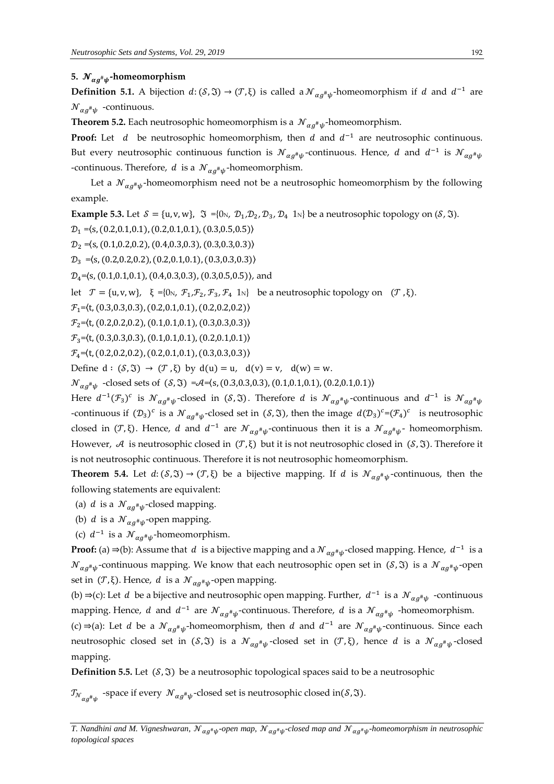## **5.**  # **-homeomorphism**

**Definition 5.1.** A bijection  $d: (S, \mathfrak{I}) \to (\mathcal{T}, \xi)$  is called a  $\mathcal{N}_{\alpha g^{\#}\psi}$ -homeomorphism if d and  $d^{-1}$  are  ${\cal N}_{\alpha g^{\scriptscriptstyle\#}\psi}$  -continuous.

**Theorem 5.2.** Each neutrosophic homeomorphism is a  $\mathcal{N}_{\alpha g^{\#}\psi}$ -homeomorphism.

**Proof:** Let  $d$  be neutrosophic homeomorphism, then  $d$  and  $d^{-1}$  are neutrosophic continuous. But every neutrosophic continuous function is  ${\cal N}_{\alpha g^{\#}\psi}$ -continuous. Hence,  $d$  and  $d^{-1}$  is  ${\cal N}_{\alpha g^{\#}\psi}$ -continuous. Therefore, d is a  $\mathcal{N}_{\alpha g^{\#}\psi}$ -homeomorphism.

Let a  ${\mathcal N}_{\alpha g^\# \psi}$ -homeomorphism need not be a neutrosophic homeomorphism by the following example.

**Example 5.3.** Let  $S = \{u, v, w\}$ ,  $\Im = \{0_N, \mathcal{D}_1, \mathcal{D}_2, \mathcal{D}_3, \mathcal{D}_4 \}$  be a neutrosophic topology on  $(\mathcal{S}, \Im)$ .

 $\mathcal{D}_1 = (s, (0.2, 0.1, 0.1), (0.2, 0.1, 0.1), (0.3, 0.5, 0.5))$ 

 $\mathcal{D}_2 = \langle S, (0.1, 0.2, 0.2), (0.4, 0.3, 0.3), (0.3, 0.3, 0.3) \rangle$ 

 $\mathcal{D}_3 = (s, (0.2, 0.2, 0.2), (0.2, 0.1, 0.1), (0.3, 0.3, 0.3))$ 

 $\mathcal{D}_4$ = $\langle s, (0.1, 0.1, 0.1), (0.4, 0.3, 0.3), (0.3, 0.5, 0.5) \rangle$ , and

let  $\mathcal{T} = \{u, v, w\}, \xi = \{0_N, \mathcal{F}_1, \mathcal{F}_2, \mathcal{F}_3, \mathcal{F}_4, 1_N\}$  be a neutrosophic topology on  $(\mathcal{T}, \xi)$ .

 $\mathcal{F}_1$ = $\langle t, (0.3, 0.3, 0.3), (0.2, 0.1, 0.1), (0.2, 0.2, 0.2) \rangle$ 

 $\mathcal{F}_2$ = $\langle t, (0.2, 0.2, 0.2), (0.1, 0.1, 0.1), (0.3, 0.3, 0.3) \rangle$ 

 $\mathcal{F}_3 = \langle t, (0.3, 0.3, 0.3), (0.1, 0.1, 0.1), (0.2, 0.1, 0.1) \rangle$ 

 $\mathcal{F}_4 = \langle t, (0.2, 0.2, 0.2), (0.2, 0.1, 0.1), (0.3, 0.3, 0.3) \rangle$ 

Define  $d : (\mathcal{S}, \mathfrak{V}) \to (\mathcal{T}, \xi)$  by  $d(u) = u$ ,  $d(v) = v$ ,  $d(w) = w$ .

 ${\mathcal N}_{\alpha g^{\#}\psi}$  -closed sets of  $(\mathcal{S}, \mathfrak{I}) = \mathcal{A} = (s, (0.3, 0.3, 0.3), (0.1, 0.1, 0.1), (0.2, 0.1, 0.1))$ 

Here  $d^{-1}(\mathcal{F}_3)^c$  is  $\mathcal{N}_{\alpha g^{\#}\psi}$ -closed in (S,  $\mathfrak{I}$ ). Therefore  $d$  is  $\mathcal{N}_{\alpha g^{\#}\psi}$ -continuous and  $d^{-1}$  is  $\mathcal{N}_{\alpha g^{\#}\psi}$ -continuous if  $(\mathcal{D}_3)^c$  is a  $\mathcal{N}_{\alpha g^{\#}\psi}$ -closed set in  $(\mathcal{S}, \mathfrak{I})$ , then the image  $d(\mathcal{D}_3)^c = (\mathcal{F}_4)^c$  is neutrosophic closed in (T, ξ). Hence, d and  $d^{-1}$  are  $\mathcal{N}_{\alpha g^{\#}\psi}$ -continuous then it is a  $\mathcal{N}_{\alpha g^{\#}\psi}$ - homeomorphism. However, A is neutrosophic closed in  $(\mathcal{T}, \xi)$  but it is not neutrosophic closed in  $(\mathcal{S}, \mathfrak{I})$ . Therefore it is not neutrosophic continuous. Therefore it is not neutrosophic homeomorphism.

**Theorem 5.4.** Let  $d: (\mathcal{S}, \mathfrak{I}) \to (\mathcal{T}, \xi)$  be a bijective mapping. If d is  $\mathcal{N}_{\alpha g^{\#}\psi}$ -continuous, then the following statements are equivalent:

- (a) *d* is a  $\mathcal{N}_{\alpha g^{\#}\psi}$ -closed mapping.
- (b) *d* is a  $\mathcal{N}_{\alpha g^{\#}\psi}$ -open mapping.
- (c)  $d^{-1}$  is a  $\mathcal{N}_{\alpha g^{\#}\psi}$ -homeomorphism.

**Proof:** (a) ⇒(b): Assume that d is a bijective mapping and a  $\mathcal{N}_{\alpha g^{\#}\psi}$ -closed mapping. Hence, d<sup>-1</sup> is a  ${\cal N}_{\alpha g^{\#}\psi}$ -continuous mapping. We know that each neutrosophic open set in (S, 3) is a  ${\cal N}_{\alpha g^{\#}\psi}$ -open set in  $(\mathcal{T}, \xi)$ . Hence, d is a  $\mathcal{N}_{\alpha g^{\#}\psi}$ -open mapping.

(b) ⇒(c): Let *d* be a bijective and neutrosophic open mapping. Further,  $d^{-1}$  is a  $\mathcal{N}_{\alpha g^{\#}\psi}$  -continuous mapping. Hence, d and  $d^{-1}$  are  ${\mathcal N}_{\alpha g^{\#}\psi}$ -continuous. Therefore, d is a  ${\mathcal N}_{\alpha g^{\#}\psi}$  -homeomorphism.

(c) ⇒(a): Let *d* be a  $\mathcal{N}_{\alpha g^{\#}\psi}$ -homeomorphism, then *d* and *d*<sup>-1</sup> are  $\mathcal{N}_{\alpha g^{\#}\psi}$ -continuous. Since each neutrosophic closed set in  $(\mathcal{S}, \mathfrak{I})$  is a  $\mathcal{N}_{\alpha g^{\#}\psi}$ -closed set in  $(\mathcal{T}, \xi)$ , hence  $d$  is a  $\mathcal{N}_{\alpha g^{\#}\psi}$ -closed mapping.

**Definition 5.5.** Let  $(S, \Im)$  be a neutrosophic topological spaces said to be a neutrosophic

 $\mathcal{I}_{{\mathcal{N}}_{\alpha g^\#\psi}}$  -space if every  $\ {\mathcal{N}}_{\alpha g^\#\psi}$ -closed set is neutrosophic closed in(S,  $\mathfrak{I}).$ 

T. Nandhini and M. Vigneshwaran,  ${\cal N}_{\alpha g^*\psi}$ -open map,  ${\cal N}_{\alpha g^*\psi}$ -closed map and  ${\cal N}_{\alpha g^*\psi}$ -homeomorphism in neutrosophic *topological spaces*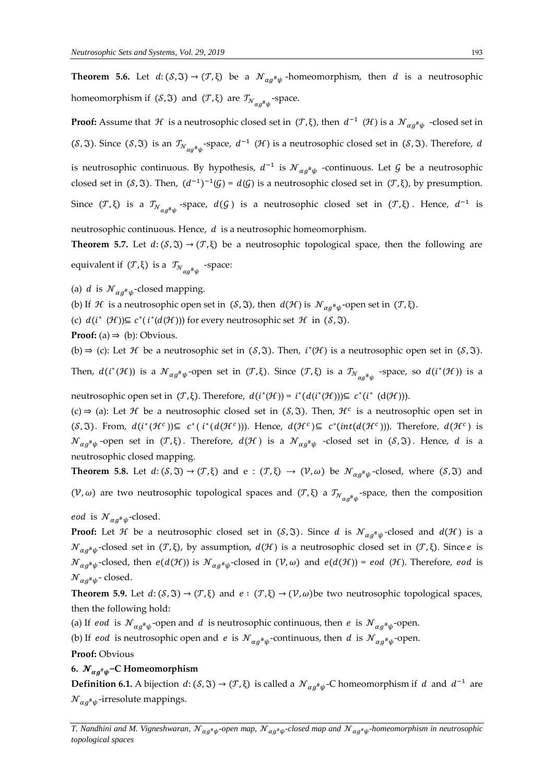**Theorem 5.6.** Let  $d: (\mathcal{S}, \mathfrak{I}) \to (\mathcal{T}, \xi)$  be a  $\mathcal{N}_{\alpha g^{\#}\psi}$ -homeomorphism, then d is a neutrosophic homeomorphism if  $(S, \mathfrak{I})$  and  $(\mathcal{T}, \xi)$  are  $\mathcal{T}_{\mathcal{N}_{\alpha g^{\#}\psi}}$ -space.

**Proof:** Assume that  $\mathcal H$  is a neutrosophic closed set in  $(\mathcal T,\xi)$ , then  $d^{-1}(\mathcal H)$  is a  $\mathcal N_{\alpha g^{\#}\psi}$  -closed set in (S, 3). Since (S, 3) is an  $\mathcal{I}_{N_{\alpha g}^{\mu} \psi}$ -space,  $d^{-1}$  (H) is a neutrosophic closed set in (S, 3). Therefore, d is neutrosophic continuous. By hypothesis,  $d^{-1}$  is  $\mathcal{N}_{\alpha g^{\#}\psi}$  -continuous. Let  $\mathcal G$  be a neutrosophic closed set in (S,  $\mathfrak{F}$ ). Then,  $(d^{-1})^{-1}(\mathcal{G}) = d(\mathcal{G})$  is a neutrosophic closed set in  $(\mathcal{T}, \xi)$ , by presumption. Since  $(\mathcal{T}, \xi)$  is a  $\mathcal{T}_{\mathcal{N}_{\alpha g}^{\#}\psi}$ -space,  $d(\mathcal{G})$  is a neutrosophic closed set in  $(\mathcal{T}, \xi)$ . Hence,  $d^{-1}$  is

neutrosophic continuous. Hence,  $d$  is a neutrosophic homeomorphism.

**Theorem 5.7.** Let  $d: (\mathcal{S}, \mathfrak{I}) \to (\mathcal{T}, \xi)$  be a neutrosophic topological space, then the following are equivalent if ( $\mathcal{T}, \xi$ ) is a  $\mathcal{T}_{\mathcal{N}_{\alpha g}^{\#}\psi}$  -space:

(a) *d* is  $\mathcal{N}_{\alpha g^{\#}\psi}$ -closed mapping.

(b) If  $\mathcal H$  is a neutrosophic open set in  $(\mathcal S, \mathfrak I)$ , then  $d(\mathcal H)$  is  $\mathcal N_{\alpha g^\# \psi}$ -open set in  $(\mathcal T, \xi)$ .

(c)  $d(i^*(\mathcal{H})) \subseteq c^*(i^*(d(\mathcal{H})))$  for every neutrosophic set  $\mathcal{H}$  in  $(\mathcal{S}, \mathfrak{I})$ .

**Proof:** (a)  $\Rightarrow$  (b): Obvious.

(b)  $\Rightarrow$  (c): Let *H* be a neutrosophic set in (*S*,  $\Im$ ). Then, *i*<sup>\*</sup>(*H*) is a neutrosophic open set in (*S*,  $\Im$ ).

Then,  $d(i^*(\mathcal{H}))$  is a  $\mathcal{N}_{\alpha g^{\#}\psi}$ -open set in  $(\mathcal{T},\xi)$ . Since  $(\mathcal{T},\xi)$  is a  $\mathcal{T}_{\mathcal{N}_{\alpha g^{\#}\psi}}$  -space, so  $d(i^*(\mathcal{H}))$  is a

neutrosophic open set in  $(T, \xi)$ . Therefore,  $d(i^*(\mathcal{H})) = i^*(d(i^*(\mathcal{H}))) \subseteq c^*(i^*(d(\mathcal{H})))$ .

(c) ⇒ (a): Let *H* be a neutrosophic closed set in (*S*,  $\Im$ ). Then,  $\mathcal{H}^c$  is a neutrosophic open set in  $(S, \Im)$ . From,  $d(i^*(\mathcal{H}^c)) \subseteq c^*(i^*(d(\mathcal{H}^c)))$ . Hence,  $d(\mathcal{H}^c) \subseteq c^*(int(d(\mathcal{H}^c)))$ . Therefore,  $d(\mathcal{H}^c)$  is  ${\mathcal N}_{\alpha g^{\#}\psi}$ -open set in (T, ξ). Therefore,  $d({\mathcal H})$  is a  ${\mathcal N}_{\alpha g^{\#}\psi}$  -closed set in (S,  $\mathfrak{I}$ ). Hence,  $d$  is a neutrosophic closed mapping.

**Theorem 5.8.** Let  $d: (\mathcal{S}, \mathfrak{I}) \to (\mathcal{T}, \xi)$  and  $e: (\mathcal{T}, \xi) \to (\mathcal{V}, \omega)$  be  $\mathcal{N}_{\alpha g^{\#}\psi}$ -closed, where  $(\mathcal{S}, \mathfrak{I})$  and (V, ω) are two neutrosophic topological spaces and (T,ξ) a  $\mathcal{T}_{N_{\alpha g}^{\#}\psi}$ -space, then the composition

*eod* is  ${\mathcal N}_{\alpha g^{\scriptscriptstyle\#}\psi}$ -closed.

**Proof:** Let  $\mathcal H$  be a neutrosophic closed set in  $(\mathcal S,\mathfrak V).$  Since  $d$  is  ${\mathcal N}_{\alpha g^\# \psi}$ -closed and  $d(\mathcal H)$  is a  ${\mathcal N}_{\alpha g^\# \psi}$ -closed set in  $({\mathcal T}, \xi)$ , by assumption,  $d({\mathcal H})$  is a neutrosophic closed set in  $({\mathcal T}, \xi)$ . Since  $e$  is  ${\mathcal N}_{\alpha g^{\#}\psi}$ -closed, then  $e(d({\mathcal H}))$  is  ${\mathcal N}_{\alpha g^{\#}\psi}$ -closed in  $({\mathcal V}, \omega)$  and  $e(d({\mathcal H}))$  =  $eod$   $({\mathcal H})$ . Therefore,  $eod$  is  ${\mathcal N}_{\alpha g^{\scriptscriptstyle\#} \psi}$ - closed.

**Theorem 5.9.** Let  $d: (\mathcal{S}, \mathfrak{I}) \to (\mathcal{T}, \xi)$  and  $e: (\mathcal{T}, \xi) \to (\mathcal{V}, \omega)$  be two neutrosophic topological spaces, then the following hold:

(a) If eod is  $\mathcal{N}_{\alpha g^{\#}\psi}$ -open and d is neutrosophic continuous, then e is  $\mathcal{N}_{\alpha g^{\#}\psi}$ -open.

(b) If eod is neutrosophic open and e is  $\mathcal{N}_{\alpha g^{\#}\psi}$ -continuous, then d is  $\mathcal{N}_{\alpha g^{\#}\psi}$ -open.

**Proof:** Obvious

## **6.**  # **−C Homeomorphism**

**Definition 6.1.** A bijection  $d: (S, \mathfrak{T}) \to (T, \xi)$  is called a  $\mathcal{N}_{\alpha g^{\#}\psi}$ -C homeomorphism if d and  $d^{-1}$  are  ${\cal N}_{\alpha g^{\scriptscriptstyle\#}\psi}$ -irresolute mappings.

T. Nandhini and M. Vigneshwaran,  ${\cal N}_{\alpha g^*\psi}$ -open map,  ${\cal N}_{\alpha g^*\psi}$ -closed map and  ${\cal N}_{\alpha g^*\psi}$ -homeomorphism in neutrosophic *topological spaces*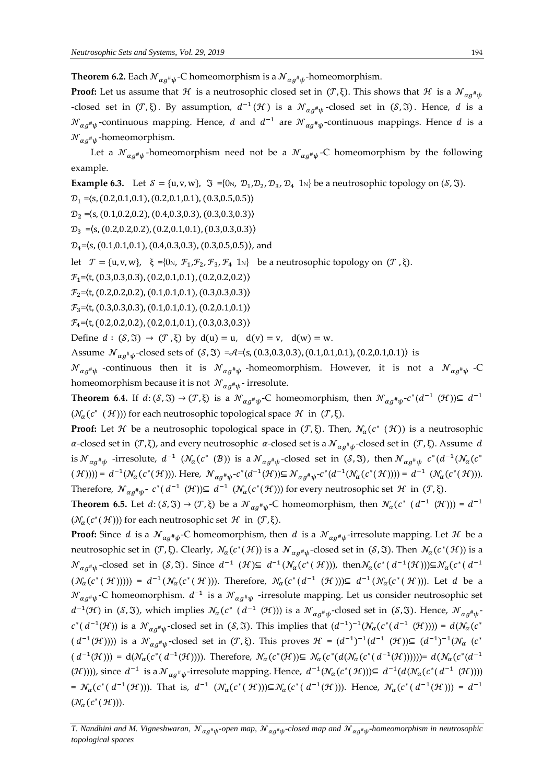**Theorem 6.2.** Each  $\mathcal{N}_{\alpha g^{\#}\psi}$ -C homeomorphism is a  $\mathcal{N}_{\alpha g^{\#}\psi}$ -homeomorphism.

**Proof:** Let us assume that  $\mathcal H$  is a neutrosophic closed set in  $(\mathcal T,\xi)$ . This shows that  $\mathcal H$  is a  ${\mathcal N}_{\alpha g^{\#}\psi}$ -closed set in  $(\mathcal{T}, \xi)$ . By assumption,  $d^{-1}(\mathcal{H})$  is a  $\mathcal{N}_{\alpha g^{\#}\psi}$ -closed set in  $(\mathcal{S}, \mathfrak{I})$ . Hence, d is a  ${\cal N}_{\alpha g^{\#}\psi}$ -continuous mapping. Hence,  $d$  and  $d^{-1}$  are  ${\cal N}_{\alpha g^{\#}\psi}$ -continuous mappings. Hence  $d$  is a  ${\mathcal N}_{\alpha g^{\scriptscriptstyle\#} \psi}$ -homeomorphism.

Let a  ${\mathcal N}_{\alpha g^\# \psi}$ -homeomorphism need not be a  ${\mathcal N}_{\alpha g^\# \psi}$ -C homeomorphism by the following example.

**Example 6.3.** Let  $S = \{u, v, w\}$ ,  $\Im = \{0_N, \mathcal{D}_1, \mathcal{D}_2, \mathcal{D}_3, \mathcal{D}_4, 1_N\}$  be a neutrosophic topology on  $(\mathcal{S}, \Im)$ .

 $\mathcal{D}_1 = \langle S, (0.2, 0.1, 0.1), (0.2, 0.1, 0.1), (0.3, 0.5, 0.5) \rangle$ 

 $\mathcal{D}_2 = \langle s, (0.1, 0.2, 0.2), (0.4, 0.3, 0.3), (0.3, 0.3, 0.3) \rangle$ 

 $\mathcal{D}_3 = (s, (0.2, 0.2, 0.2), (0.2, 0.1, 0.1), (0.3, 0.3, 0.3))$ 

 $\mathcal{D}_4$ = $\langle s, (0.1, 0.1, 0.1), (0.4, 0.3, 0.3), (0.3, 0.5, 0.5) \rangle$ , and

let  $\mathcal{T} = \{u, v, w\}, \xi = \{0\}, \mathcal{F}_1, \mathcal{F}_2, \mathcal{F}_3, \mathcal{F}_4 \}$  be a neutrosophic topology on  $(\mathcal{T}, \xi)$ .

 $\mathcal{F}_1 = \langle t, (0.3, 0.3, 0.3), (0.2, 0.1, 0.1), (0.2, 0.2, 0.2) \rangle$ 

 $\mathcal{F}_2 = \langle t, (0.2, 0.2, 0.2), (0.1, 0.1, 0.1), (0.3, 0.3, 0.3) \rangle$ 

 $\mathcal{F}_3 = \langle t, (0.3, 0.3, 0.3), (0.1, 0.1, 0.1), (0.2, 0.1, 0.1) \rangle$ 

 $\mathcal{F}_4 = \langle t, (0.2, 0.2, 0.2), (0.2, 0.1, 0.1), (0.3, 0.3, 0.3) \rangle$ 

Define  $d : (S, \mathfrak{I}) \to (T, \xi)$  by  $d(u) = u$ ,  $d(v) = v$ ,  $d(w) = w$ .

Assume  $\mathcal{N}_{\alpha g^{\#}\psi}$ -closed sets of  $(S, \Im) = \mathcal{A} = (s, (0.3, 0.3, 0.3), (0.1, 0.1, 0.1), (0.2, 0.1, 0.1))$  is

 ${\cal N}_{\alpha g^{\#}\psi}$  -continuous then it is  ${\cal N}_{\alpha g^{\#}\psi}$  -homeomorphism. However, it is not a  ${\cal N}_{\alpha g^{\#}\psi}$  -C homeomorphism because it is not  ${\mathcal N}_{\alpha g^{\#}\psi^{\text{-}}}$  irresolute.

**Theorem 6.4.** If  $d: (\mathcal{S}, \mathfrak{S}) \to (\mathcal{T}, \xi)$  is a  $\mathcal{N}_{\alpha g^{\#}\psi}$ -C homeomorphism, then  $\mathcal{N}_{\alpha g^{\#}\psi}$ - $c^*(d^{-1}(\mathcal{H})) \subseteq d^{-1}$  $(\mathcal{N}_{\alpha}(c^* \ (\mathcal{H}))$ ) for each neutrosophic topological space  $\mathcal{H}$  in  $(\mathcal{T}, \xi)$ .

**Proof:** Let H be a neutrosophic topological space in  $(T, \xi)$ . Then,  $\mathcal{N}_\alpha(c^*(\mathcal{H}))$  is a neutrosophic α-closed set in (Τ,ξ), and every neutrosophic α-closed set is a  ${\cal N}_{\alpha g^{\#}\psi}$ -closed set in (Τ,ξ). Assume d is  ${\cal N}_{\alpha g^{\#}\psi}$  -irresolute,  $d^{-1}$   $({\cal N}_{\alpha}(c^* \,~({\cal B}))$  is a  ${\cal N}_{\alpha g^{\#}\psi}$ -closed set in (S, 3), then  ${\cal N}_{\alpha g^{\#}\psi}$   $c^*(d^{-1}({\cal N}_{\alpha}(c^* \,~({\cal B}))$  $(\mathcal{H}))$ ) =  $d^{-1}(\mathcal{N}_{\alpha}(c^*(\mathcal{H})))$ . Here,  $\mathcal{N}_{\alpha g^{\#}\psi} \text{-} c^*(d^{-1}(\mathcal{H})) \subseteq \mathcal{N}_{\alpha g^{\#}\psi} \text{-} c^*(d^{-1}(\mathcal{N}_{\alpha}(c^*(\mathcal{H})))) = d^{-1}(\mathcal{N}_{\alpha}(c^*(\mathcal{H}))).$ Therefore,  $\mathcal{N}_{\alpha g^{\#}\psi}$ -  $c^*(d^{-1}(\mathcal{H})) \subseteq d^{-1}(\mathcal{N}_{\alpha}(c^*(\mathcal{H})))$  for every neutrosophic set  $\mathcal{H}$  in  $(\mathcal{T}, \xi)$ .

**Theorem 6.5.** Let  $d: (S, \mathfrak{T}) \to (\mathcal{T}, \xi)$  be a  $\mathcal{N}_{\alpha g^{\#}\psi}$ -C homeomorphism, then  $\mathcal{N}_{\alpha}(c^* \ (\ d^{-1} \ (\mathcal{H}))) = d^{-1}$  $(\mathcal{N}_{\alpha}(c^*(\mathcal{H})))$  for each neutrosophic set  $\mathcal{H}$  in  $(\mathcal{T}, \xi)$ .

**Proof:** Since d is a  $\mathcal{N}_{\alpha g^{\#}\psi}$ -C homeomorphism, then d is a  $\mathcal{N}_{\alpha g^{\#}\psi}$ -irresolute mapping. Let  $\mathcal H$  be a neutrosophic set in  $(\mathcal{T}, \xi)$ . Clearly,  $\mathcal{N}_\alpha(c^*(\mathcal{H}))$  is a  $\mathcal{N}_{\alpha g^{\#}\psi}$ -closed set in  $(\mathcal{S}, \mathfrak{I})$ . Then  $\mathcal{N}_\alpha(c^*(\mathcal{H}))$  is a  ${\mathcal N}_{\alpha g^{\#}\psi}$ -closed set in (5,3). Since  $d^{-1}({\mathcal H})\subseteq d^{-1}({\mathcal N}_\alpha(c^*({\mathcal H})))$ , then  ${\mathcal N}_\alpha(c^*({d^{-1}({\mathcal H})}))\subseteq {\mathcal N}_\alpha(c^*({d^{-1}({\mathcal H}))})$  $(\mathcal{N}_{\alpha}(c^*(\mathcal{H})))) = d^{-1}(\mathcal{N}_{\alpha}(c^*(\mathcal{H})))$ . Therefore,  $\mathcal{N}_{\alpha}(c^*(d^{-1}(\mathcal{H}))) \subseteq d^{-1}(\mathcal{N}_{\alpha}(c^*(\mathcal{H})))$ . Let d be a  ${\cal N}_{\alpha g^{\#}\psi}$ -C homeomorphism.  $d^{-1}$  is a  ${\cal N}_{\alpha g^{\#}\psi}$  -irresolute mapping. Let us consider neutrosophic set  $d^{-1}(\mathcal{H})$  in (S,  $\mathfrak{I}$ ), which implies  $\mathcal{N}_{\alpha} (c^* \, (d^{-1} \, (\mathcal{H})))$  is a  $\mathcal{N}_{\alpha g^{\#} \psi}$ -closed set in (S,  $\mathfrak{I}$ ). Hence,  $\mathcal{N}_{\alpha g^{\#} \psi}$  $c^*(d^{-1}(\mathcal{H}))$  is a  $\mathcal{N}_{\alpha g^{\#}\psi}$ -closed set in  $(\mathcal{S}, \mathfrak{I})$ . This implies that  $(d^{-1})^{-1}(\mathcal{N}_\alpha(c^*(d^{-1}(\mathcal{H})))) = d(\mathcal{N}_\alpha(c^*(d^{-1}(\mathcal{H}))))$  $(d^{-1}(\mathcal{H})))$  is a  $\mathcal{N}_{\alpha g^{\#}\psi}$ -closed set in  $(\mathcal{T}, \xi)$ . This proves  $\mathcal{H} = (d^{-1})^{-1}(d^{-1}(\mathcal{H})) \subseteq (d^{-1})^{-1}(\mathcal{N}_{\alpha} (c^*)^{-1})$  $(d^{-1}(\mathcal{H}))$ ) =  $d(\mathcal{N}_{\alpha}(c^*(d^{-1}(\mathcal{H}))))$ . Therefore,  $\mathcal{N}_{\alpha}(c^*(\mathcal{H})) \subseteq \mathcal{N}_{\alpha}(c^*(d(\mathcal{N}_{\alpha}(c^*(d^{-1}(\mathcal{H})))))) = d(\mathcal{N}_{\alpha}(c^*(d^{-1}(\mathcal{H}))))$  $(\mathcal{H}))$ ), since  $d^{-1}$  is a  $\mathcal{N}_{\alpha g^{\#}\psi}$ -irresolute mapping. Hence,  $d^{-1}(\mathcal{N}_{\alpha}(c^{\ast}(\mathcal{H}))) \subseteq d^{-1}(d(\mathcal{N}_{\alpha}(c^{\ast}(d^{-1}(\mathcal{H}))))$ =  $\mathcal{N}_{\alpha}(c^*(d^{-1}(\mathcal{H})))$ . That is,  $d^{-1}(\mathcal{N}_{\alpha}(c^*(\mathcal{H})))\subseteq \mathcal{N}_{\alpha}(c^*(d^{-1}(\mathcal{H})))$ . Hence,  $\mathcal{N}_{\alpha}(c^*(d^{-1}(\mathcal{H}))) = d^{-1}$  $(\mathcal{N}_{\alpha}(c^*(\mathcal{H}))).$ 

T. Nandhini and M. Vigneshwaran,  ${\cal N}_{\alpha g^*\psi}$ -open map,  ${\cal N}_{\alpha g^*\psi}$ -closed map and  ${\cal N}_{\alpha g^*\psi}$ -homeomorphism in neutrosophic *topological spaces*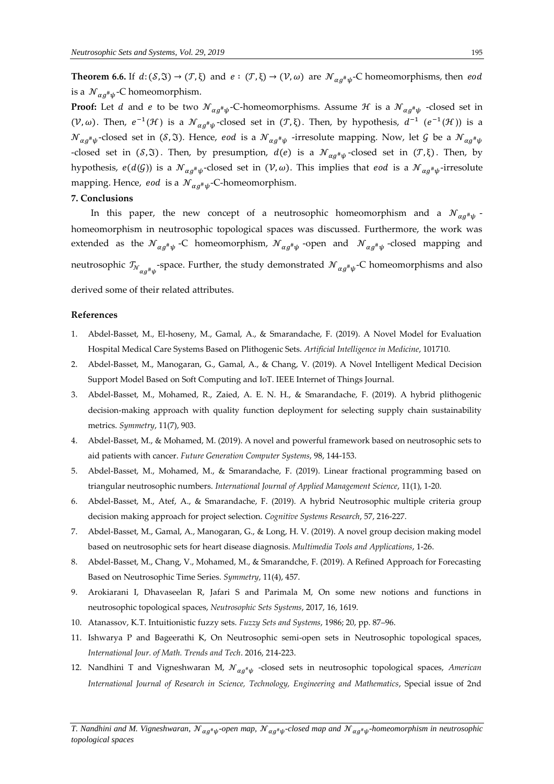**Theorem 6.6.** If  $d: (\mathcal{S}, \mathfrak{I}) \to (\mathcal{T}, \xi)$  and  $e: (\mathcal{T}, \xi) \to (\mathcal{V}, \omega)$  are  $\mathcal{N}_{\alpha g^{\#}\psi}$ -C homeomorphisms, then eod is a  ${\mathcal N}_{\alpha g^{\scriptscriptstyle\#} \psi}$ -C homeomorphism.

**Proof:** Let  $d$  and  $e$  to be two  ${\mathcal N}_{\alpha g^\# \psi}$ -C-homeomorphisms. Assume  ${\mathcal H}$  is a  ${\mathcal N}_{\alpha g^\# \psi}$  -closed set in  $(\mathcal{V},\omega)$ . Then,  $e^{-1}(\mathcal{H})$  is a  $\mathcal{N}_{\alpha g^{\#}\psi}$ -closed set in  $(\mathcal{T},\xi)$ . Then, by hypothesis,  $d^{-1}$   $(e^{-1}(\mathcal{H}))$  is a  ${\cal N}_{\alpha g^{\#}\psi}$ -closed set in (S,3). Hence*, eod* is a  ${\cal N}_{\alpha g^{\#}\psi}$  -irresolute mapping. Now, let  ${\cal G}$  be a  ${\cal N}_{\alpha g^{\#}\psi}$ -closed set in  $(\mathcal{S}, \mathfrak{I})$ . Then, by presumption,  $d(e)$  is a  $\mathcal{N}_{\alpha g^{\#}\psi}$ -closed set in  $(\mathcal{T}, \xi)$ . Then, by hypothesis,  $e(d(\mathcal{G}))$  is a  $\mathcal{N}_{\alpha g^{\#}\psi}$ -closed set in  $(\mathcal{V}, \omega)$ . This implies that  $eod$  is a  $\mathcal{N}_{\alpha g^{\#}\psi}$ -irresolute mapping. Hence, eod is a  ${\mathcal N}_{\alpha g^{\#}\psi}$ -C-homeomorphism.

#### **7. Conclusions**

In this paper, the new concept of a neutrosophic homeomorphism and a  ${\mathcal N}_{\alpha g^{\#}\psi}$  homeomorphism in neutrosophic topological spaces was discussed. Furthermore, the work was extended as the  ${\mathcal N}_{\alpha g^{\#}\psi}$  -C homeomorphism,  ${\mathcal N}_{\alpha g^{\#}\psi}$  -open and  ${\mathcal N}_{\alpha g^{\#}\psi}$  -closed mapping and neutrosophic  $\mathcal{T}_{\mathcal{N}_{\alpha g^\# \psi}}$ -space. Further, the study demonstrated  $\mathcal{N}_{\alpha g^\# \psi}$ -C homeomorphisms and also derived some of their related attributes.

#### **References**

- 1. Abdel-Basset, M., El-hoseny, M., Gamal, A., & Smarandache, F. (2019). A Novel Model for Evaluation Hospital Medical Care Systems Based on Plithogenic Sets. *Artificial Intelligence in Medicine*, 101710.
- 2. Abdel-Basset, M., Manogaran, G., Gamal, A., & Chang, V. (2019). A Novel Intelligent Medical Decision Support Model Based on Soft Computing and IoT. IEEE Internet of Things Journal.
- 3. Abdel-Basset, M., Mohamed, R., Zaied, A. E. N. H., & Smarandache, F. (2019). A hybrid plithogenic decision-making approach with quality function deployment for selecting supply chain sustainability metrics. *Symmetry*, 11(7), 903.
- 4. Abdel-Basset, M., & Mohamed, M. (2019). A novel and powerful framework based on neutrosophic sets to aid patients with cancer. *Future Generation Computer Systems*, 98, 144-153.
- 5. Abdel-Basset, M., Mohamed, M., & Smarandache, F. (2019). Linear fractional programming based on triangular neutrosophic numbers. *International Journal of Applied Management Science*, 11(1), 1-20.
- 6. Abdel-Basset, M., Atef, A., & Smarandache, F. (2019). A hybrid Neutrosophic multiple criteria group decision making approach for project selection. *Cognitive Systems Research*, 57, 216-227.
- 7. Abdel-Basset, M., Gamal, A., Manogaran, G., & Long, H. V. (2019). A novel group decision making model based on neutrosophic sets for heart disease diagnosis. *Multimedia Tools and Applications*, 1-26.
- 8. Abdel-Basset, M., Chang, V., Mohamed, M., & Smarandche, F. (2019). A Refined Approach for Forecasting Based on Neutrosophic Time Series. *Symmetry*, 11(4), 457.
- 9. Arokiarani I, Dhavaseelan R, Jafari S and Parimala M, On some new notions and functions in neutrosophic topological spaces, *Neutrosophic Sets Systems*, 2017, 16, 1619.
- 10. Atanassov, K.T. Intuitionistic fuzzy sets. *Fuzzy Sets and Systems*, 1986; 20, pp. 87–96.
- 11. Ishwarya P and Bageerathi K, On Neutrosophic semi-open sets in Neutrosophic topological spaces, *International Jour. of Math. Trends and Tech*. 2016, 214-223.
- 12. Nandhini T and Vigneshwaran M,  ${\mathcal N}_{\alpha g^{\#}\psi}$  -closed sets in neutrosophic topological spaces, American *International Journal of Research in Science, Technology, Engineering and Mathematics*, Special issue of 2nd